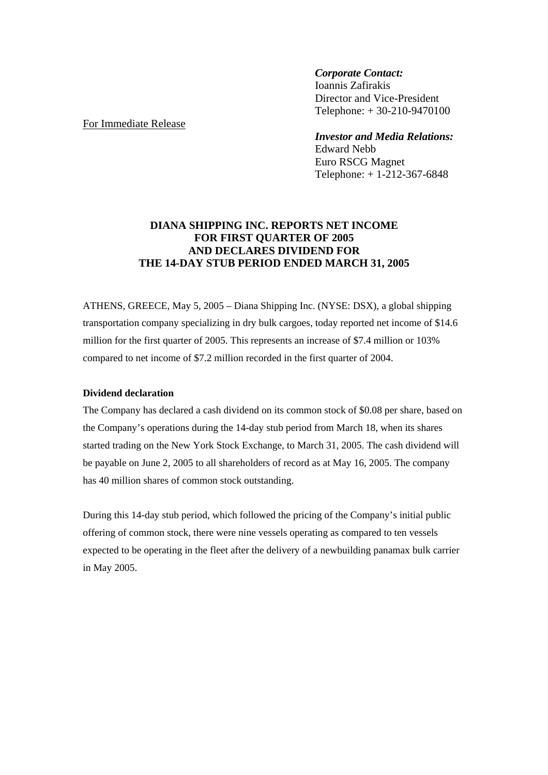### *Corporate Contact:*

 Ioannis Zafirakis Director and Vice-President Telephone: + 30-210-9470100

# *Investor and Media Relations:*

 Edward Nebb Euro RSCG Magnet Telephone: + 1-212-367-6848

# **DIANA SHIPPING INC. REPORTS NET INCOME FOR FIRST QUARTER OF 2005 AND DECLARES DIVIDEND FOR THE 14-DAY STUB PERIOD ENDED MARCH 31, 2005**

ATHENS, GREECE, May 5, 2005 – Diana Shipping Inc. (NYSE: DSX), a global shipping transportation company specializing in dry bulk cargoes, today reported net income of \$14.6 million for the first quarter of 2005. This represents an increase of \$7.4 million or 103% compared to net income of \$7.2 million recorded in the first quarter of 2004.

### **Dividend declaration**

The Company has declared a cash dividend on its common stock of \$0.08 per share, based on the Company's operations during the 14-day stub period from March 18, when its shares started trading on the New York Stock Exchange, to March 31, 2005. The cash dividend will be payable on June 2, 2005 to all shareholders of record as at May 16, 2005. The company has 40 million shares of common stock outstanding.

During this 14-day stub period, which followed the pricing of the Company's initial public offering of common stock, there were nine vessels operating as compared to ten vessels expected to be operating in the fleet after the delivery of a newbuilding panamax bulk carrier in May 2005.

# For Immediate Release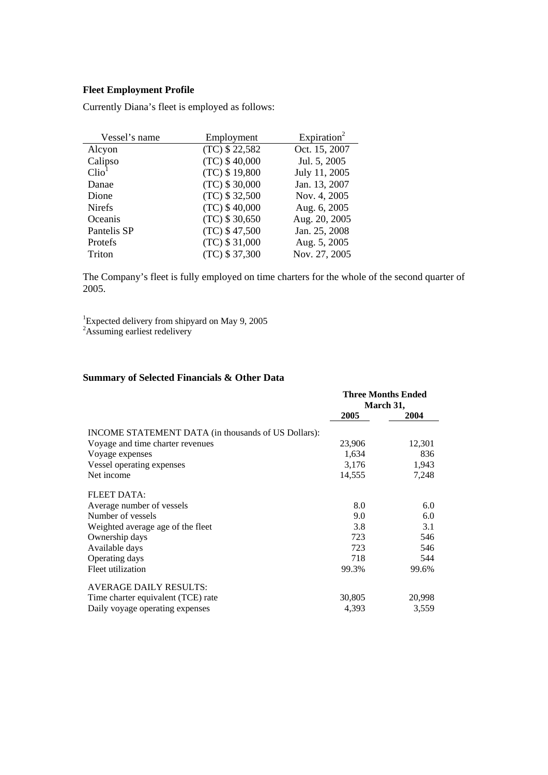### **Fleet Employment Profile**

Currently Diana's fleet is employed as follows:

| Vessel's name     | Employment       | Expiration <sup>2</sup> |
|-------------------|------------------|-------------------------|
| Alcyon            | (TC) \$22,582    | Oct. 15, 2007           |
| Calipso           | $(TC)$ \$ 40,000 | Jul. 5, 2005            |
| Clio <sup>1</sup> | (TC) \$19,800    | July 11, 2005           |
| Danae             | (TC) \$30,000    | Jan. 13, 2007           |
| Dione             | (TC) \$32,500    | Nov. 4, 2005            |
| <b>Nirefs</b>     | $(TC)$ \$40,000  | Aug. 6, 2005            |
| Oceanis           | $(TC)$ \$ 30,650 | Aug. 20, 2005           |
| Pantelis SP       | (TC) \$47,500    | Jan. 25, 2008           |
| Protefs           | (TC) \$31,000    | Aug. 5, 2005            |
| Triton            | (TC) \$37,300    | Nov. 27, 2005           |

The Company's fleet is fully employed on time charters for the whole of the second quarter of 2005.

<sup>1</sup>Expected delivery from shipyard on May 9, 2005<sup>2</sup>Assuming earliest redelivery

# **Summary of Selected Financials & Other Data**

|                                                     |        | <b>Three Months Ended</b><br>March 31, |  |
|-----------------------------------------------------|--------|----------------------------------------|--|
|                                                     | 2005   | 2004                                   |  |
| INCOME STATEMENT DATA (in thousands of US Dollars): |        |                                        |  |
| Voyage and time charter revenues                    | 23,906 | 12,301                                 |  |
| Voyage expenses                                     | 1,634  | 836                                    |  |
| Vessel operating expenses                           | 3,176  | 1,943                                  |  |
| Net income                                          | 14,555 | 7,248                                  |  |
| <b>FLEET DATA:</b>                                  |        |                                        |  |
| Average number of vessels                           | 8.0    | 6.0                                    |  |
| Number of vessels                                   | 9.0    | 6.0                                    |  |
| Weighted average age of the fleet                   | 3.8    | 3.1                                    |  |
| Ownership days                                      | 723    | 546                                    |  |
| Available days                                      | 723    | 546                                    |  |
| Operating days                                      | 718    | 544                                    |  |
| Fleet utilization                                   | 99.3%  | 99.6%                                  |  |
| <b>AVERAGE DAILY RESULTS:</b>                       |        |                                        |  |
| Time charter equivalent (TCE) rate                  | 30,805 | 20,998                                 |  |
| Daily voyage operating expenses                     | 4,393  | 3,559                                  |  |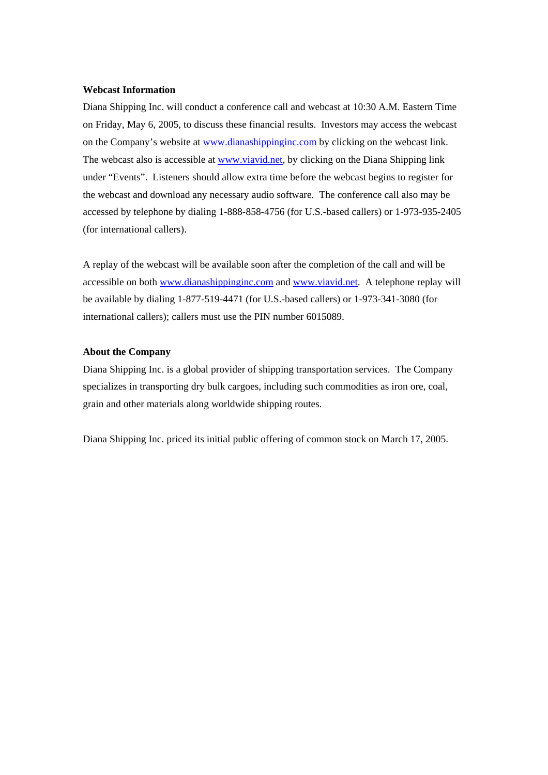#### **Webcast Information**

Diana Shipping Inc. will conduct a conference call and webcast at 10:30 A.M. Eastern Time on Friday, May 6, 2005, to discuss these financial results. Investors may access the webcast on the Company's website at www.dianashippinginc.com by clicking on the webcast link. The webcast also is accessible at www.viavid.net, by clicking on the Diana Shipping link under "Events". Listeners should allow extra time before the webcast begins to register for the webcast and download any necessary audio software. The conference call also may be accessed by telephone by dialing 1-888-858-4756 (for U.S.-based callers) or 1-973-935-2405 (for international callers).

A replay of the webcast will be available soon after the completion of the call and will be accessible on both www.dianashippinginc.com and www.viavid.net. A telephone replay will be available by dialing 1-877-519-4471 (for U.S.-based callers) or 1-973-341-3080 (for international callers); callers must use the PIN number 6015089.

#### **About the Company**

Diana Shipping Inc. is a global provider of shipping transportation services. The Company specializes in transporting dry bulk cargoes, including such commodities as iron ore, coal, grain and other materials along worldwide shipping routes.

Diana Shipping Inc. priced its initial public offering of common stock on March 17, 2005.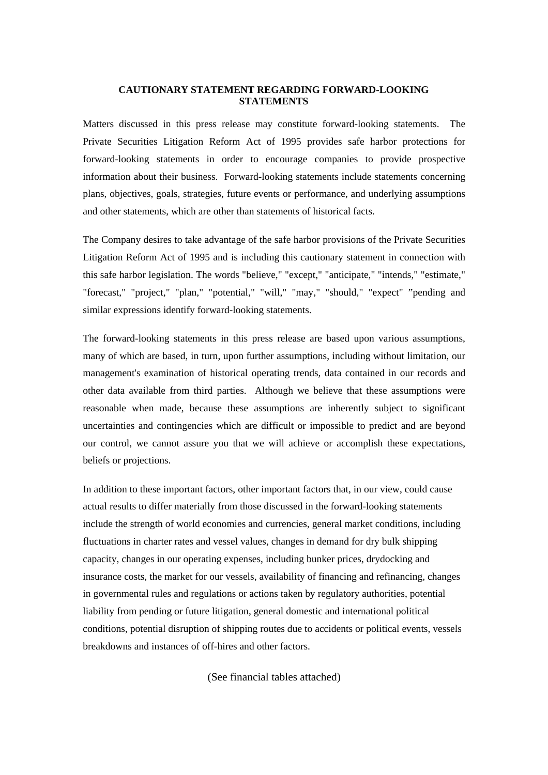#### **CAUTIONARY STATEMENT REGARDING FORWARD-LOOKING STATEMENTS**

Matters discussed in this press release may constitute forward-looking statements. The Private Securities Litigation Reform Act of 1995 provides safe harbor protections for forward-looking statements in order to encourage companies to provide prospective information about their business. Forward-looking statements include statements concerning plans, objectives, goals, strategies, future events or performance, and underlying assumptions and other statements, which are other than statements of historical facts.

The Company desires to take advantage of the safe harbor provisions of the Private Securities Litigation Reform Act of 1995 and is including this cautionary statement in connection with this safe harbor legislation. The words "believe," "except," "anticipate," "intends," "estimate," "forecast," "project," "plan," "potential," "will," "may," "should," "expect" "pending and similar expressions identify forward-looking statements.

The forward-looking statements in this press release are based upon various assumptions, many of which are based, in turn, upon further assumptions, including without limitation, our management's examination of historical operating trends, data contained in our records and other data available from third parties. Although we believe that these assumptions were reasonable when made, because these assumptions are inherently subject to significant uncertainties and contingencies which are difficult or impossible to predict and are beyond our control, we cannot assure you that we will achieve or accomplish these expectations, beliefs or projections.

In addition to these important factors, other important factors that, in our view, could cause actual results to differ materially from those discussed in the forward-looking statements include the strength of world economies and currencies, general market conditions, including fluctuations in charter rates and vessel values, changes in demand for dry bulk shipping capacity, changes in our operating expenses, including bunker prices, drydocking and insurance costs, the market for our vessels, availability of financing and refinancing, changes in governmental rules and regulations or actions taken by regulatory authorities, potential liability from pending or future litigation, general domestic and international political conditions, potential disruption of shipping routes due to accidents or political events, vessels breakdowns and instances of off-hires and other factors.

(See financial tables attached)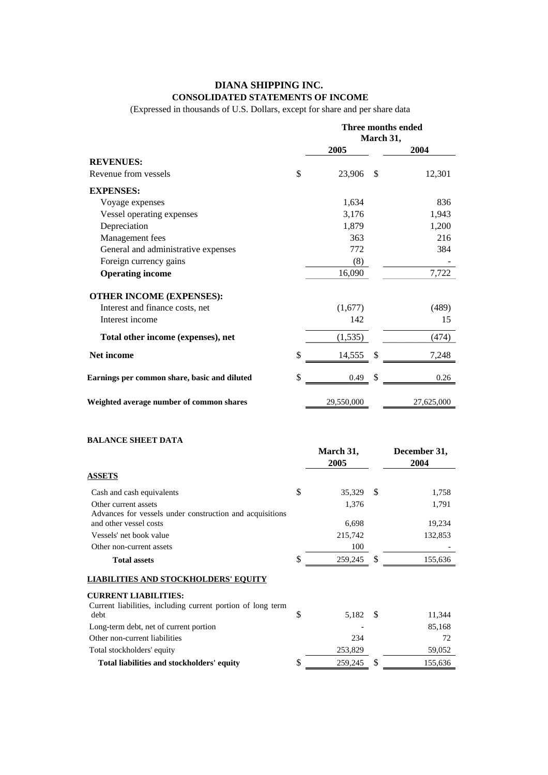## **DIANA SHIPPING INC. CONSOLIDATED STATEMENTS OF INCOME**

(Expressed in thousands of U.S. Dollars, except for share and per share data

|                                              | Three months ended<br>March 31, |               |            |
|----------------------------------------------|---------------------------------|---------------|------------|
|                                              | 2005                            |               | 2004       |
| <b>REVENUES:</b>                             |                                 |               |            |
| Revenue from vessels                         | \$<br>23,906                    | <sup>\$</sup> | 12,301     |
| <b>EXPENSES:</b>                             |                                 |               |            |
| Voyage expenses                              | 1,634                           |               | 836        |
| Vessel operating expenses                    | 3,176                           |               | 1,943      |
| Depreciation                                 | 1,879                           |               | 1,200      |
| Management fees                              | 363                             |               | 216        |
| General and administrative expenses          | 772                             |               | 384        |
| Foreign currency gains                       | (8)                             |               |            |
| <b>Operating income</b>                      | 16,090                          |               | 7,722      |
| <b>OTHER INCOME (EXPENSES):</b>              |                                 |               |            |
| Interest and finance costs, net              | (1,677)                         |               | (489)      |
| Interest income                              | 142                             |               | 15         |
| Total other income (expenses), net           | (1,535)                         |               | (474)      |
| Net income                                   | \$<br>14,555                    | <sup>\$</sup> | 7,248      |
| Earnings per common share, basic and diluted | \$<br>0.49                      | \$            | 0.26       |
| Weighted average number of common shares     | 29,550,000                      |               | 27,625,000 |

### **BALANCE SHEET DATA**

|                                                                                  |     | March 31,<br>2005 |               | December 31,<br>2004 |
|----------------------------------------------------------------------------------|-----|-------------------|---------------|----------------------|
| <b>ASSETS</b>                                                                    |     |                   |               |                      |
| Cash and cash equivalents                                                        | \$  | 35,329            | <sup>\$</sup> | 1,758                |
| Other current assets<br>Advances for vessels under construction and acquisitions |     | 1,376             |               | 1,791                |
| and other vessel costs                                                           |     | 6,698             |               | 19,234               |
| Vessels' net book value                                                          |     | 215,742           |               | 132,853              |
| Other non-current assets                                                         |     | 100               |               |                      |
| <b>Total assets</b>                                                              | \$  | 259,245           | <sup>\$</sup> | 155,636              |
| <b>LIABILITIES AND STOCKHOLDERS' EQUITY</b>                                      |     |                   |               |                      |
| <b>CURRENT LIABILITIES:</b>                                                      |     |                   |               |                      |
| Current liabilities, including current portion of long term<br>debt              | S   | 5,182             | <b>S</b>      | 11,344               |
| Long-term debt, net of current portion                                           |     |                   |               | 85,168               |
| Other non-current liabilities                                                    |     | 234               |               | 72                   |
| Total stockholders' equity                                                       |     | 253,829           |               | 59,052               |
| Total liabilities and stockholders' equity                                       | \$. | 259,245           | S             | 155,636              |